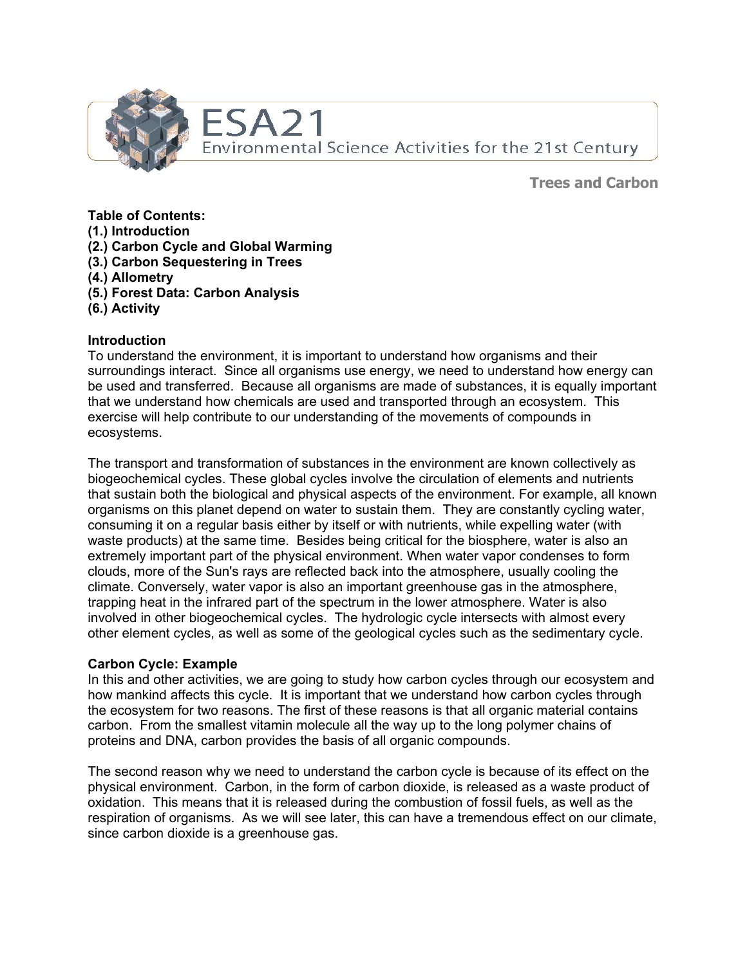

**Trees and Carbon**

**Table of Contents:** 

- **(1.) Introduction**
- **(2.) Carbon Cycle and Global Warming**
- **(3.) Carbon Sequestering in Trees**
- **(4.) Allometry**
- **(5.) Forest Data: Carbon Analysis**
- **(6.) Activity**

### **Introduction**

To understand the environment, it is important to understand how organisms and their surroundings interact. Since all organisms use energy, we need to understand how energy can be used and transferred. Because all organisms are made of substances, it is equally important that we understand how chemicals are used and transported through an ecosystem. This exercise will help contribute to our understanding of the movements of compounds in ecosystems.

The transport and transformation of substances in the environment are known collectively as biogeochemical cycles. These global cycles involve the circulation of elements and nutrients that sustain both the biological and physical aspects of the environment. For example, all known organisms on this planet depend on water to sustain them. They are constantly cycling water, consuming it on a regular basis either by itself or with nutrients, while expelling water (with waste products) at the same time. Besides being critical for the biosphere, water is also an extremely important part of the physical environment. When water vapor condenses to form clouds, more of the Sun's rays are reflected back into the atmosphere, usually cooling the climate. Conversely, water vapor is also an important greenhouse gas in the atmosphere, trapping heat in the infrared part of the spectrum in the lower atmosphere. Water is also involved in other biogeochemical cycles. The hydrologic cycle intersects with almost every other element cycles, as well as some of the geological cycles such as the sedimentary cycle.

### **Carbon Cycle: Example**

In this and other activities, we are going to study how carbon cycles through our ecosystem and how mankind affects this cycle. It is important that we understand how carbon cycles through the ecosystem for two reasons. The first of these reasons is that all organic material contains carbon. From the smallest vitamin molecule all the way up to the long polymer chains of proteins and DNA, carbon provides the basis of all organic compounds.

The second reason why we need to understand the carbon cycle is because of its effect on the physical environment. Carbon, in the form of carbon dioxide, is released as a waste product of oxidation. This means that it is released during the combustion of fossil fuels, as well as the respiration of organisms. As we will see later, this can have a tremendous effect on our climate, since carbon dioxide is a greenhouse gas.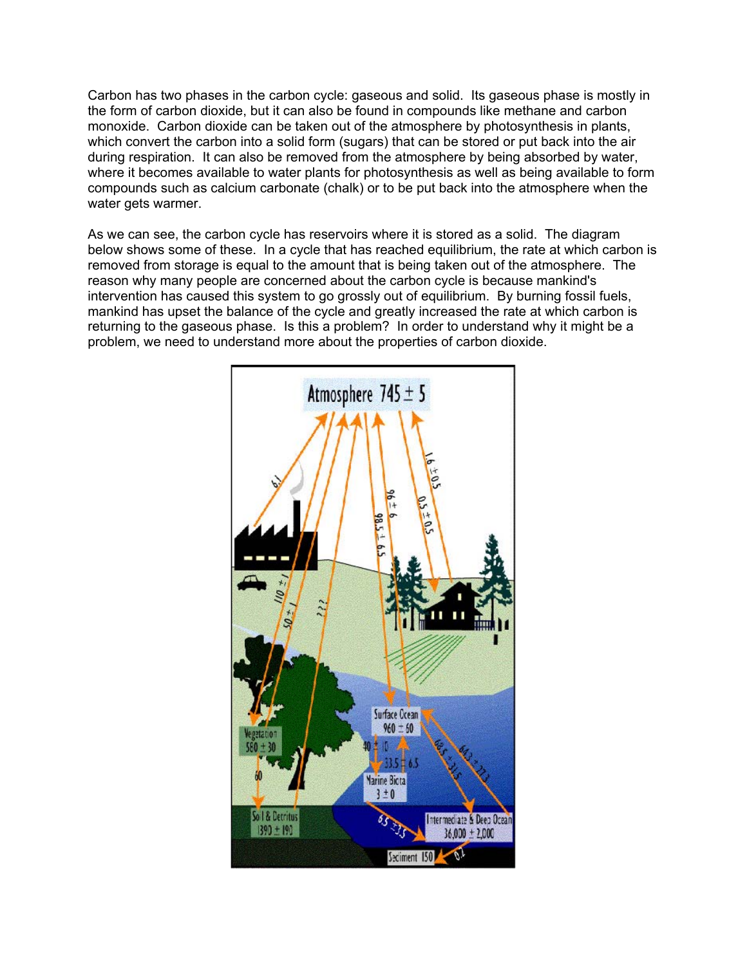Carbon has two phases in the carbon cycle: gaseous and solid. Its gaseous phase is mostly in the form of carbon dioxide, but it can also be found in compounds like methane and carbon monoxide. Carbon dioxide can be taken out of the atmosphere by photosynthesis in plants, which convert the carbon into a solid form (sugars) that can be stored or put back into the air during respiration. It can also be removed from the atmosphere by being absorbed by water, where it becomes available to water plants for photosynthesis as well as being available to form compounds such as calcium carbonate (chalk) or to be put back into the atmosphere when the water gets warmer.

As we can see, the carbon cycle has reservoirs where it is stored as a solid. The diagram below shows some of these. In a cycle that has reached equilibrium, the rate at which carbon is removed from storage is equal to the amount that is being taken out of the atmosphere. The reason why many people are concerned about the carbon cycle is because mankind's intervention has caused this system to go grossly out of equilibrium. By burning fossil fuels, mankind has upset the balance of the cycle and greatly increased the rate at which carbon is returning to the gaseous phase. Is this a problem? In order to understand why it might be a problem, we need to understand more about the properties of carbon dioxide.

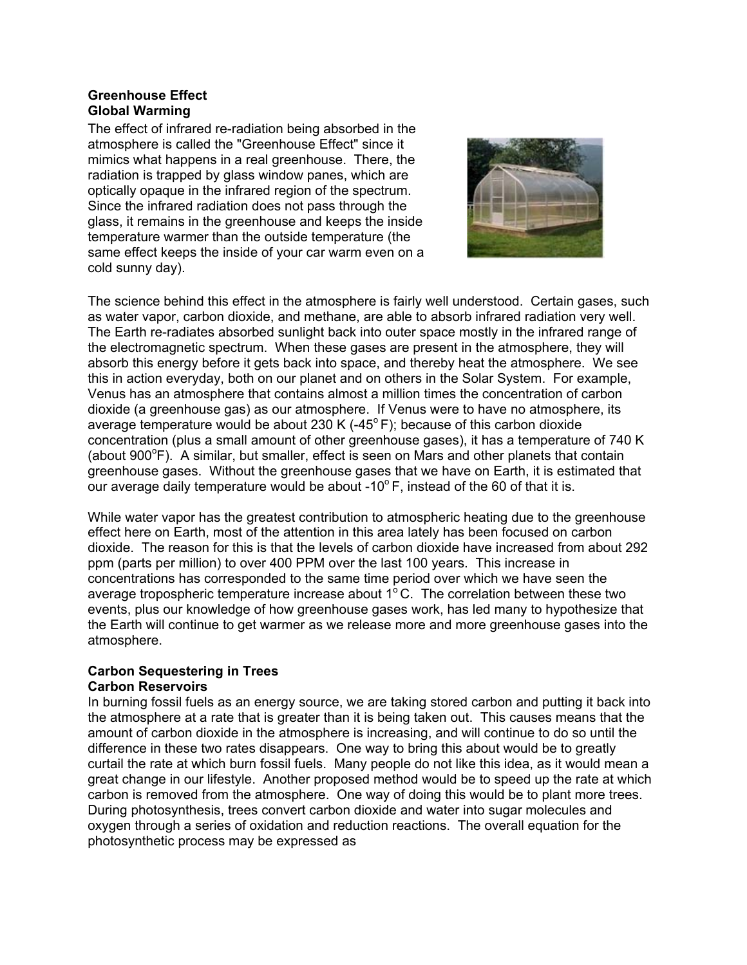### **Greenhouse Effect Global Warming**

The effect of infrared re-radiation being absorbed in the atmosphere is called the "Greenhouse Effect" since it mimics what happens in a real greenhouse. There, the radiation is trapped by glass window panes, which are optically opaque in the infrared region of the spectrum. Since the infrared radiation does not pass through the glass, it remains in the greenhouse and keeps the inside temperature warmer than the outside temperature (the same effect keeps the inside of your car warm even on a cold sunny day).



The science behind this effect in the atmosphere is fairly well understood. Certain gases, such as water vapor, carbon dioxide, and methane, are able to absorb infrared radiation very well. The Earth re-radiates absorbed sunlight back into outer space mostly in the infrared range of the electromagnetic spectrum. When these gases are present in the atmosphere, they will absorb this energy before it gets back into space, and thereby heat the atmosphere. We see this in action everyday, both on our planet and on others in the Solar System. For example, Venus has an atmosphere that contains almost a million times the concentration of carbon dioxide (a greenhouse gas) as our atmosphere. If Venus were to have no atmosphere, its average temperature would be about 230 K  $(-45^{\circ}F)$ ; because of this carbon dioxide concentration (plus a small amount of other greenhouse gases), it has a temperature of 740 K (about  $900^{\circ}$ F). A similar, but smaller, effect is seen on Mars and other planets that contain greenhouse gases. Without the greenhouse gases that we have on Earth, it is estimated that our average daily temperature would be about  $-10^{\circ}$  F, instead of the 60 of that it is.

While water vapor has the greatest contribution to atmospheric heating due to the greenhouse effect here on Earth, most of the attention in this area lately has been focused on carbon dioxide. The reason for this is that the levels of carbon dioxide have increased from about 292 ppm (parts per million) to over 400 PPM over the last 100 years. This increase in concentrations has corresponded to the same time period over which we have seen the average tropospheric temperature increase about  $1^{\circ}$ C. The correlation between these two events, plus our knowledge of how greenhouse gases work, has led many to hypothesize that the Earth will continue to get warmer as we release more and more greenhouse gases into the atmosphere.

#### **Carbon Sequestering in Trees Carbon Reservoirs**

In burning fossil fuels as an energy source, we are taking stored carbon and putting it back into the atmosphere at a rate that is greater than it is being taken out. This causes means that the amount of carbon dioxide in the atmosphere is increasing, and will continue to do so until the difference in these two rates disappears. One way to bring this about would be to greatly curtail the rate at which burn fossil fuels. Many people do not like this idea, as it would mean a great change in our lifestyle. Another proposed method would be to speed up the rate at which carbon is removed from the atmosphere. One way of doing this would be to plant more trees. During photosynthesis, trees convert carbon dioxide and water into sugar molecules and oxygen through a series of oxidation and reduction reactions. The overall equation for the photosynthetic process may be expressed as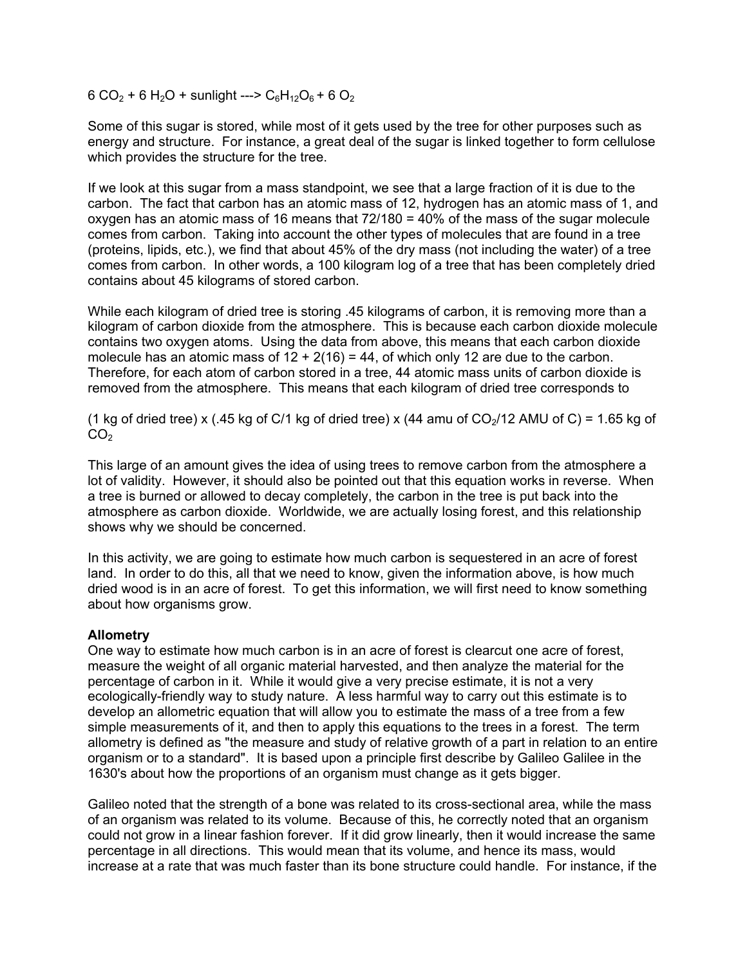6 CO<sub>2</sub> + 6 H<sub>2</sub>O + sunlight ---> C<sub>6</sub>H<sub>12</sub>O<sub>6</sub> + 6 O<sub>2</sub>

Some of this sugar is stored, while most of it gets used by the tree for other purposes such as energy and structure. For instance, a great deal of the sugar is linked together to form cellulose which provides the structure for the tree.

If we look at this sugar from a mass standpoint, we see that a large fraction of it is due to the carbon. The fact that carbon has an atomic mass of 12, hydrogen has an atomic mass of 1, and oxygen has an atomic mass of 16 means that 72/180 = 40% of the mass of the sugar molecule comes from carbon. Taking into account the other types of molecules that are found in a tree (proteins, lipids, etc.), we find that about 45% of the dry mass (not including the water) of a tree comes from carbon. In other words, a 100 kilogram log of a tree that has been completely dried contains about 45 kilograms of stored carbon.

While each kilogram of dried tree is storing .45 kilograms of carbon, it is removing more than a kilogram of carbon dioxide from the atmosphere. This is because each carbon dioxide molecule contains two oxygen atoms. Using the data from above, this means that each carbon dioxide molecule has an atomic mass of  $12 + 2(16) = 44$ , of which only 12 are due to the carbon. Therefore, for each atom of carbon stored in a tree, 44 atomic mass units of carbon dioxide is removed from the atmosphere. This means that each kilogram of dried tree corresponds to

(1 kg of dried tree) x (.45 kg of C/1 kg of dried tree) x (44 amu of  $CO<sub>2</sub>/12$  AMU of C) = 1.65 kg of  $CO<sub>2</sub>$ 

This large of an amount gives the idea of using trees to remove carbon from the atmosphere a lot of validity. However, it should also be pointed out that this equation works in reverse. When a tree is burned or allowed to decay completely, the carbon in the tree is put back into the atmosphere as carbon dioxide. Worldwide, we are actually losing forest, and this relationship shows why we should be concerned.

In this activity, we are going to estimate how much carbon is sequestered in an acre of forest land. In order to do this, all that we need to know, given the information above, is how much dried wood is in an acre of forest. To get this information, we will first need to know something about how organisms grow.

### **Allometry**

One way to estimate how much carbon is in an acre of forest is clearcut one acre of forest, measure the weight of all organic material harvested, and then analyze the material for the percentage of carbon in it. While it would give a very precise estimate, it is not a very ecologically-friendly way to study nature. A less harmful way to carry out this estimate is to develop an allometric equation that will allow you to estimate the mass of a tree from a few simple measurements of it, and then to apply this equations to the trees in a forest. The term allometry is defined as "the measure and study of relative growth of a part in relation to an entire organism or to a standard". It is based upon a principle first describe by Galileo Galilee in the 1630's about how the proportions of an organism must change as it gets bigger.

Galileo noted that the strength of a bone was related to its cross-sectional area, while the mass of an organism was related to its volume. Because of this, he correctly noted that an organism could not grow in a linear fashion forever. If it did grow linearly, then it would increase the same percentage in all directions. This would mean that its volume, and hence its mass, would increase at a rate that was much faster than its bone structure could handle. For instance, if the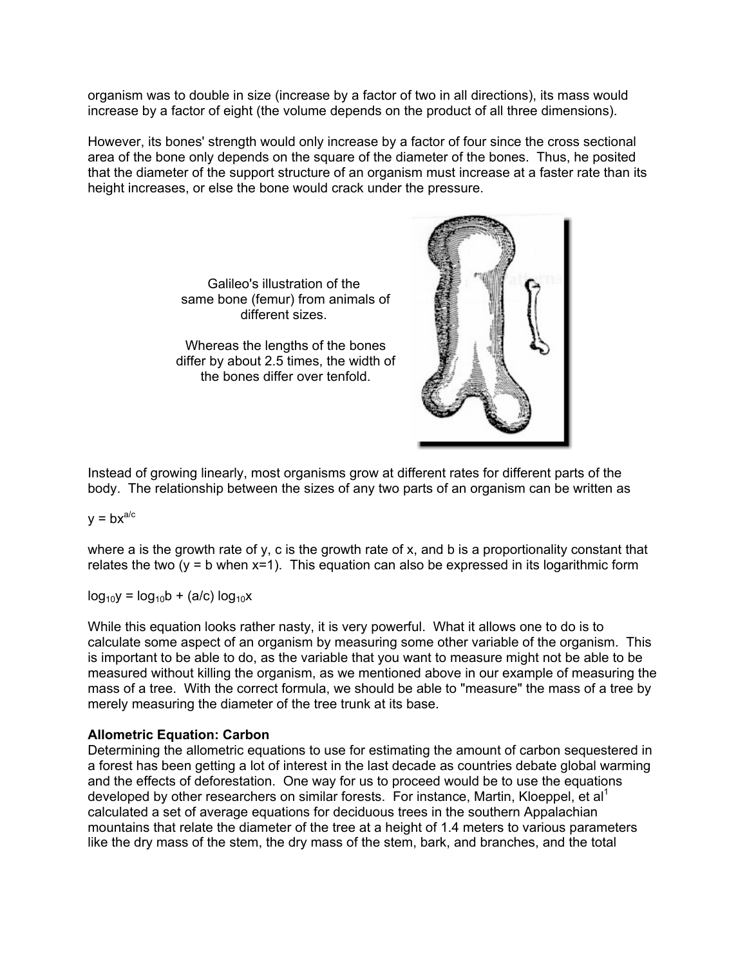organism was to double in size (increase by a factor of two in all directions), its mass would increase by a factor of eight (the volume depends on the product of all three dimensions).

However, its bones' strength would only increase by a factor of four since the cross sectional area of the bone only depends on the square of the diameter of the bones. Thus, he posited that the diameter of the support structure of an organism must increase at a faster rate than its height increases, or else the bone would crack under the pressure.

> Galileo's illustration of the same bone (femur) from animals of different sizes.

Whereas the lengths of the bones differ by about 2.5 times, the width of the bones differ over tenfold.



Instead of growing linearly, most organisms grow at different rates for different parts of the body. The relationship between the sizes of any two parts of an organism can be written as

### $y = bx^{a/c}$

where a is the growth rate of y, c is the growth rate of x, and b is a proportionality constant that relates the two ( $y = b$  when  $x=1$ ). This equation can also be expressed in its logarithmic form

 $log_{10}y = log_{10}b + (a/c) log_{10}x$ 

While this equation looks rather nasty, it is very powerful. What it allows one to do is to calculate some aspect of an organism by measuring some other variable of the organism. This is important to be able to do, as the variable that you want to measure might not be able to be measured without killing the organism, as we mentioned above in our example of measuring the mass of a tree. With the correct formula, we should be able to "measure" the mass of a tree by merely measuring the diameter of the tree trunk at its base.

### **Allometric Equation: Carbon**

Determining the allometric equations to use for estimating the amount of carbon sequestered in a forest has been getting a lot of interest in the last decade as countries debate global warming and the effects of deforestation. One way for us to proceed would be to use the equations developed by other researchers on similar forests. For instance, Martin, Kloeppel, et al<sup>1</sup> calculated a set of average equations for deciduous trees in the southern Appalachian mountains that relate the diameter of the tree at a height of 1.4 meters to various parameters like the dry mass of the stem, the dry mass of the stem, bark, and branches, and the total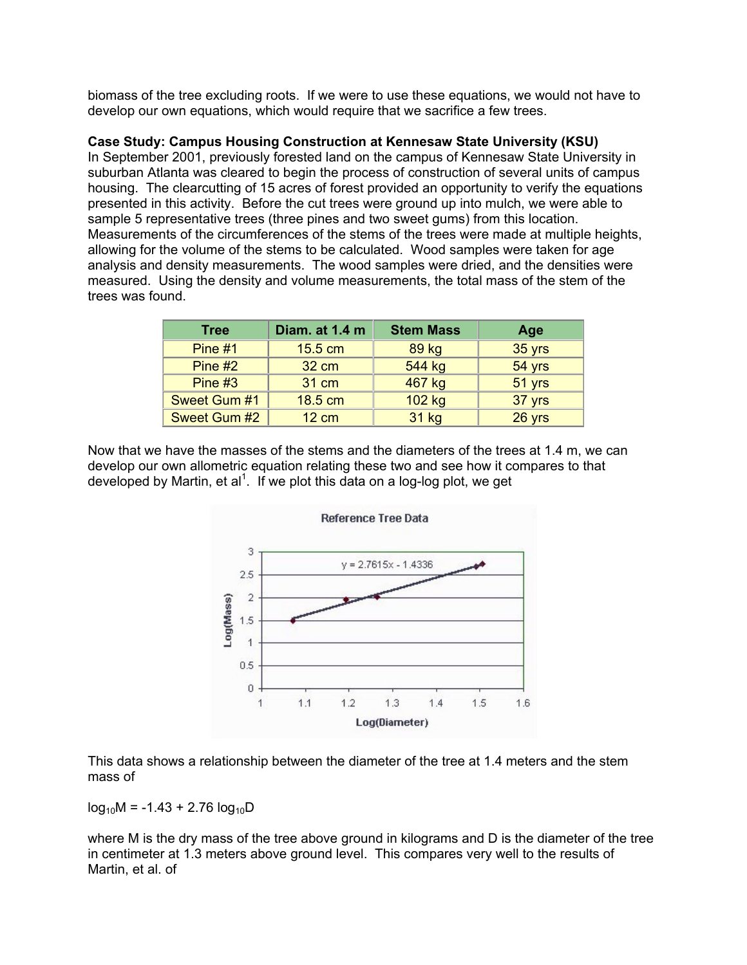biomass of the tree excluding roots. If we were to use these equations, we would not have to develop our own equations, which would require that we sacrifice a few trees.

### **Case Study: Campus Housing Construction at Kennesaw State University (KSU)**

In September 2001, previously forested land on the campus of Kennesaw State University in suburban Atlanta was cleared to begin the process of construction of several units of campus housing. The clearcutting of 15 acres of forest provided an opportunity to verify the equations presented in this activity. Before the cut trees were ground up into mulch, we were able to sample 5 representative trees (three pines and two sweet gums) from this location. Measurements of the circumferences of the stems of the trees were made at multiple heights, allowing for the volume of the stems to be calculated. Wood samples were taken for age analysis and density measurements. The wood samples were dried, and the densities were measured. Using the density and volume measurements, the total mass of the stem of the trees was found.

| <b>Tree</b>  | Diam. at 1.4 m    | <b>Stem Mass</b> | Age      |
|--------------|-------------------|------------------|----------|
| Pine $#1$    | $15.5 \text{ cm}$ | 89 kg            | 35 yrs   |
| Pine $#2$    | 32 cm             | 544 kg           | $54$ yrs |
| Pine $#3$    | 31 cm             | 467 kg           | 51 yrs   |
| Sweet Gum #1 | 18.5 cm           | 102 kg           | 37 yrs   |
| Sweet Gum #2 | <b>12 cm</b>      | 31 kg            | 26 yrs   |

Now that we have the masses of the stems and the diameters of the trees at 1.4 m, we can develop our own allometric equation relating these two and see how it compares to that developed by Martin, et al<sup>1</sup>. If we plot this data on a log-log plot, we get



This data shows a relationship between the diameter of the tree at 1.4 meters and the stem mass of

 $log_{10}M = -1.43 + 2.76 log_{10}D$ 

where M is the dry mass of the tree above ground in kilograms and D is the diameter of the tree in centimeter at 1.3 meters above ground level. This compares very well to the results of Martin, et al. of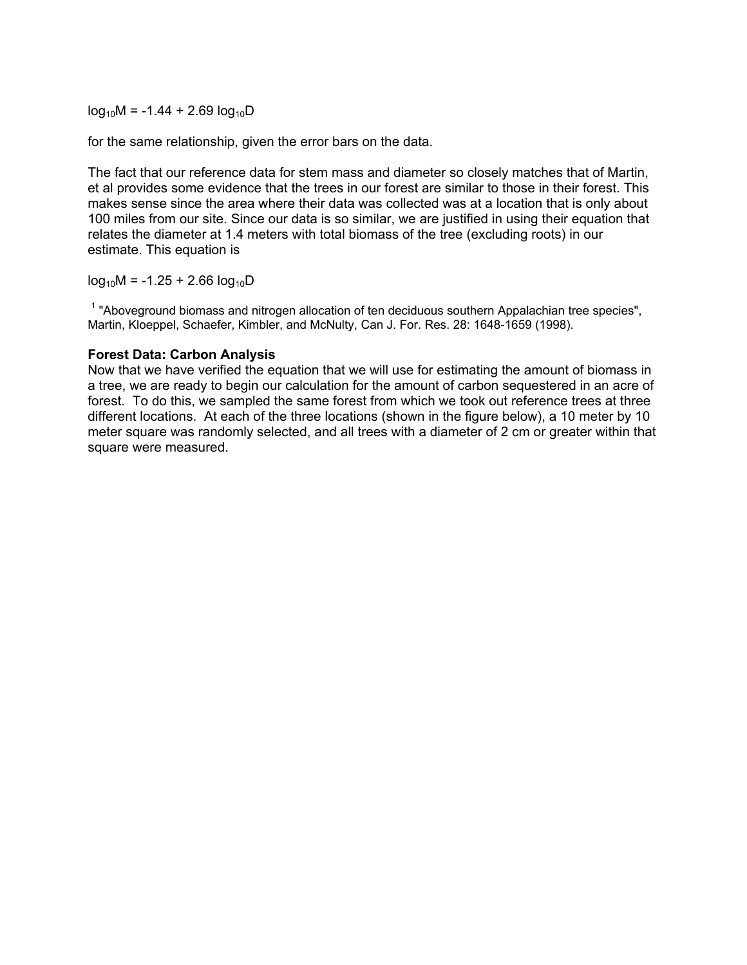$log_{10}M = -1.44 + 2.69 log_{10}D$ 

for the same relationship, given the error bars on the data.

The fact that our reference data for stem mass and diameter so closely matches that of Martin, et al provides some evidence that the trees in our forest are similar to those in their forest. This makes sense since the area where their data was collected was at a location that is only about 100 miles from our site. Since our data is so similar, we are justified in using their equation that relates the diameter at 1.4 meters with total biomass of the tree (excluding roots) in our estimate. This equation is

 $log_{10}M = -1.25 + 2.66 log_{10}D$ 

<sup>1</sup> "Aboveground biomass and nitrogen allocation of ten deciduous southern Appalachian tree species", Martin, Kloeppel, Schaefer, Kimbler, and McNulty, Can J. For. Res. 28: 1648-1659 (1998).

#### **Forest Data: Carbon Analysis**

Now that we have verified the equation that we will use for estimating the amount of biomass in a tree, we are ready to begin our calculation for the amount of carbon sequestered in an acre of forest. To do this, we sampled the same forest from which we took out reference trees at three different locations. At each of the three locations (shown in the figure below), a 10 meter by 10 meter square was randomly selected, and all trees with a diameter of 2 cm or greater within that square were measured.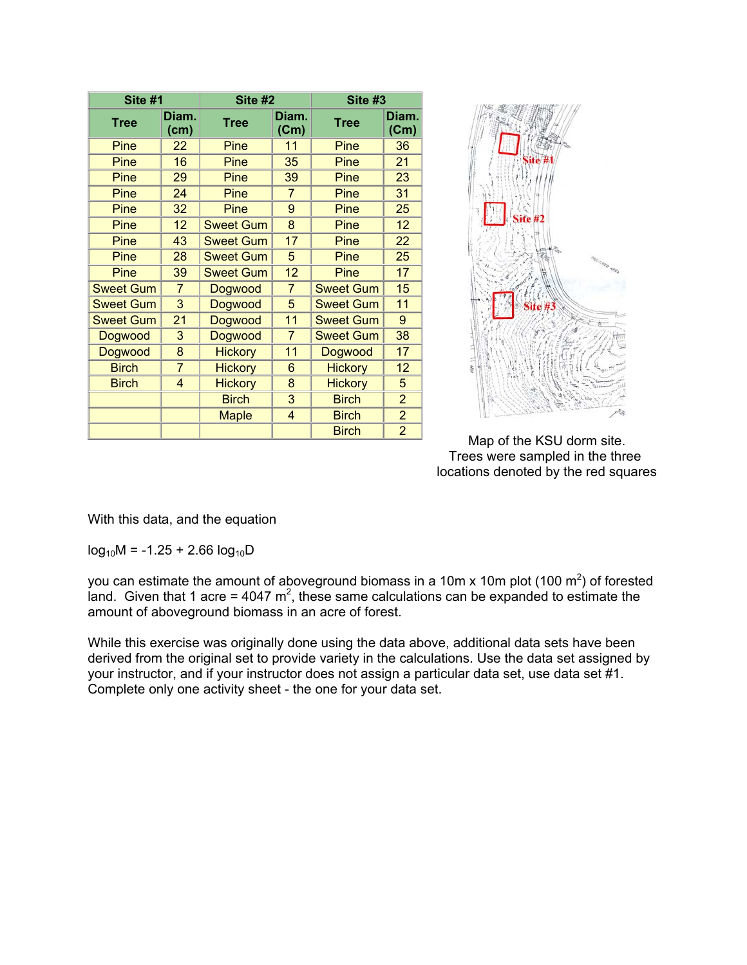| Site #1          |                | Site #2                        |                | Site #3          |                |  |
|------------------|----------------|--------------------------------|----------------|------------------|----------------|--|
| <b>Tree</b>      | Diam.<br>(cm)  | <b>Tree</b>                    | Diam.<br>(Cm)  | <b>Tree</b>      | Diam.<br>(Cm)  |  |
| Pine             | 22             | Pine                           | 11             | Pine             | 36             |  |
| Pine             | 16             | Pine                           | 35             | Pine             | 21             |  |
| Pine             | 29             | Pine                           | 39             | Pine             | 23             |  |
| Pine             | 24             | Pine                           | $\overline{7}$ | Pine             | 31             |  |
| Pine             | 32             | Pine                           | 9              | Pine             | 25             |  |
| Pine             | 12             | <b>Sweet Gum</b>               | 8              | Pine             | 12             |  |
| Pine             | 43             | <b>Sweet Gum</b>               | 17             | Pine             | 22             |  |
| Pine             | 28             | <b>Sweet Gum</b>               | 5              | Pine             | 25             |  |
| Pine             | 39             | <b>Sweet Gum</b>               | 12             | Pine             | 17             |  |
| <b>Sweet Gum</b> | $\overline{7}$ | Dogwood                        | $\overline{7}$ | <b>Sweet Gum</b> | 15             |  |
| <b>Sweet Gum</b> | 3              | Dogwood                        | 5              | <b>Sweet Gum</b> | 11             |  |
| <b>Sweet Gum</b> | 21             | Dogwood                        | 11             | <b>Sweet Gum</b> | 9              |  |
| Dogwood          | 3              | Dogwood                        | $\overline{7}$ | <b>Sweet Gum</b> | 38             |  |
| Dogwood          | 8              | <b>Hickory</b>                 | 11             | Dogwood          | 17             |  |
| <b>Birch</b>     | $\overline{7}$ | <b>Hickory</b>                 | 6              | <b>Hickory</b>   | 12             |  |
| <b>Birch</b>     | 4              | <b>Hickory</b>                 | 8              | <b>Hickory</b>   | 5              |  |
|                  |                | <b>Birch</b>                   | 3              | <b>Birch</b>     | $\overline{2}$ |  |
|                  |                | <b>Maple</b><br>$\overline{4}$ |                | <b>Birch</b>     | $\overline{2}$ |  |
|                  |                |                                |                | <b>Birch</b>     | $\overline{2}$ |  |



Map of the KSU dorm site. Trees were sampled in the three locations denoted by the red squares

With this data, and the equation

 $log_{10}M = -1.25 + 2.66 log_{10}D$ 

you can estimate the amount of aboveground biomass in a 10m x 10m plot (100 m<sup>2</sup>) of forested land. Given that 1 acre = 4047  $m^2$ , these same calculations can be expanded to estimate the amount of aboveground biomass in an acre of forest.

While this exercise was originally done using the data above, additional data sets have been derived from the original set to provide variety in the calculations. Use the data set assigned by your instructor, and if your instructor does not assign a particular data set, use data set #1. Complete only one activity sheet - the one for your data set.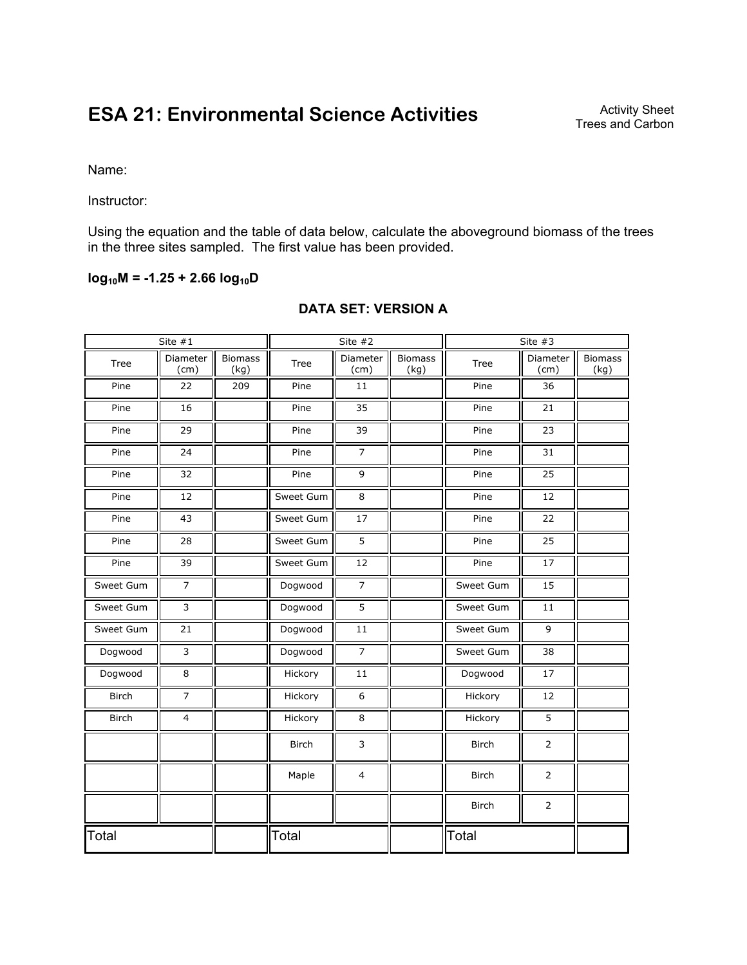# **ESA 21: Environmental Science Activities**

Name:

Instructor:

Using the equation and the table of data below, calculate the aboveground biomass of the trees in the three sites sampled. The first value has been provided.

## $log_{10}M = -1.25 + 2.66 log_{10}D$

| Site $#1$    |                  | Site #2                |              | Site $#3$        |                        |              |                  |                        |
|--------------|------------------|------------------------|--------------|------------------|------------------------|--------------|------------------|------------------------|
| Tree         | Diameter<br>(cm) | <b>Biomass</b><br>(kg) | Tree         | Diameter<br>(cm) | <b>Biomass</b><br>(kg) | Tree         | Diameter<br>(cm) | <b>Biomass</b><br>(kg) |
| Pine         | 22               | 209                    | Pine         | 11               |                        | Pine         | 36               |                        |
| Pine         | 16               |                        | Pine         | 35               |                        | Pine         | 21               |                        |
| Pine         | 29               |                        | Pine         | 39               |                        | Pine         | 23               |                        |
| Pine         | 24               |                        | Pine         | $\overline{7}$   |                        | Pine         | 31               |                        |
| Pine         | 32               |                        | Pine         | 9                |                        | Pine         | 25               |                        |
| Pine         | 12               |                        | Sweet Gum    | 8                |                        | Pine         | 12               |                        |
| Pine         | 43               |                        | Sweet Gum    | 17               |                        | Pine         | 22               |                        |
| Pine         | 28               |                        | Sweet Gum    | 5                |                        | Pine         | 25               |                        |
| Pine         | 39               |                        | Sweet Gum    | 12               |                        | Pine         | 17               |                        |
| Sweet Gum    | $\overline{7}$   |                        | Dogwood      | $\overline{7}$   |                        | Sweet Gum    | 15               |                        |
| Sweet Gum    | $\overline{3}$   |                        | Dogwood      | 5                |                        | Sweet Gum    | 11               |                        |
| Sweet Gum    | 21               |                        | Dogwood      | 11               |                        | Sweet Gum    | $\overline{9}$   |                        |
| Dogwood      | $\overline{3}$   |                        | Dogwood      | $\overline{7}$   |                        | Sweet Gum    | 38               |                        |
| Dogwood      | 8                |                        | Hickory      | $11\,$           |                        | Dogwood      | 17               |                        |
| <b>Birch</b> | $\overline{7}$   |                        | Hickory      | 6                |                        | Hickory      | 12               |                        |
| <b>Birch</b> | $\overline{4}$   |                        | Hickory      | 8                |                        | Hickory      | $\overline{5}$   |                        |
|              |                  |                        | <b>Birch</b> | 3                |                        | <b>Birch</b> | $\overline{2}$   |                        |
|              |                  |                        | Maple        | $\overline{4}$   |                        | <b>Birch</b> | $\overline{2}$   |                        |
|              |                  |                        |              |                  |                        | <b>Birch</b> | $\overline{2}$   |                        |
| Total        |                  | Total                  |              |                  | Total                  |              |                  |                        |

## **DATA SET: VERSION A**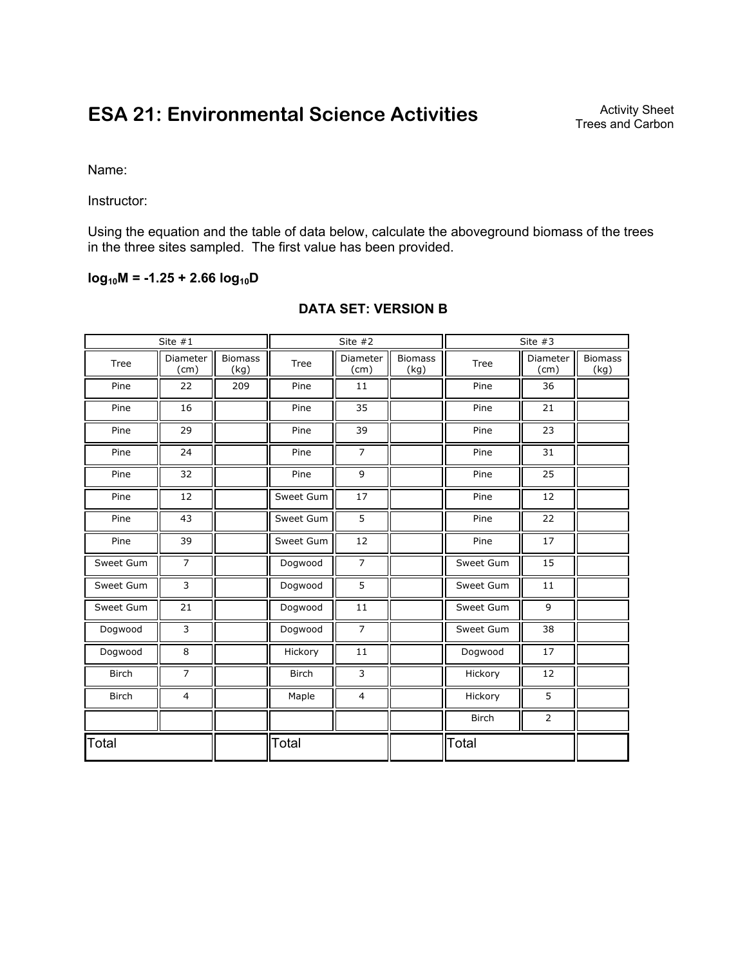# **ESA 21: Environmental Science Activities**

Name:

Instructor:

Using the equation and the table of data below, calculate the aboveground biomass of the trees in the three sites sampled. The first value has been provided.

## $log_{10}M = -1.25 + 2.66 log_{10}D$

| Site $#1$    |                  | Site $#2$              |              |                  | Site $#3$              |              |                  |                        |
|--------------|------------------|------------------------|--------------|------------------|------------------------|--------------|------------------|------------------------|
| Tree         | Diameter<br>(cm) | <b>Biomass</b><br>(kg) | Tree         | Diameter<br>(cm) | <b>Biomass</b><br>(kg) | Tree         | Diameter<br>(cm) | <b>Biomass</b><br>(kg) |
| Pine         | 22               | 209                    | Pine         | 11               |                        | Pine         | 36               |                        |
| Pine         | 16               |                        | Pine         | 35               |                        | Pine         | 21               |                        |
| Pine         | 29               |                        | Pine         | 39               |                        | Pine         | 23               |                        |
| Pine         | 24               |                        | Pine         | $\overline{7}$   |                        | Pine         | 31               |                        |
| Pine         | 32               |                        | Pine         | 9                |                        | Pine         | 25               |                        |
| Pine         | 12               |                        | Sweet Gum    | 17               |                        | Pine         | 12               |                        |
| Pine         | 43               |                        | Sweet Gum    | 5                |                        | Pine         | 22               |                        |
| Pine         | 39               |                        | Sweet Gum    | 12               |                        | Pine         | 17               |                        |
| Sweet Gum    | $\overline{7}$   |                        | Dogwood      | $\overline{7}$   |                        | Sweet Gum    | 15               |                        |
| Sweet Gum    | 3                |                        | Dogwood      | 5                |                        | Sweet Gum    | 11               |                        |
| Sweet Gum    | 21               |                        | Dogwood      | 11               |                        | Sweet Gum    | 9                |                        |
| Dogwood      | 3                |                        | Dogwood      | $\overline{7}$   |                        | Sweet Gum    | 38               |                        |
| Dogwood      | 8                |                        | Hickory      | 11               |                        | Dogwood      | 17               |                        |
| <b>Birch</b> | $\overline{7}$   |                        | <b>Birch</b> | 3                |                        | Hickory      | 12               |                        |
| <b>Birch</b> | 4                |                        | Maple        | 4                |                        | Hickory      | 5                |                        |
|              |                  |                        |              |                  |                        | <b>Birch</b> | $\overline{2}$   |                        |
| Total        |                  | Total                  |              |                  | Total                  |              |                  |                        |

## **DATA SET: VERSION B**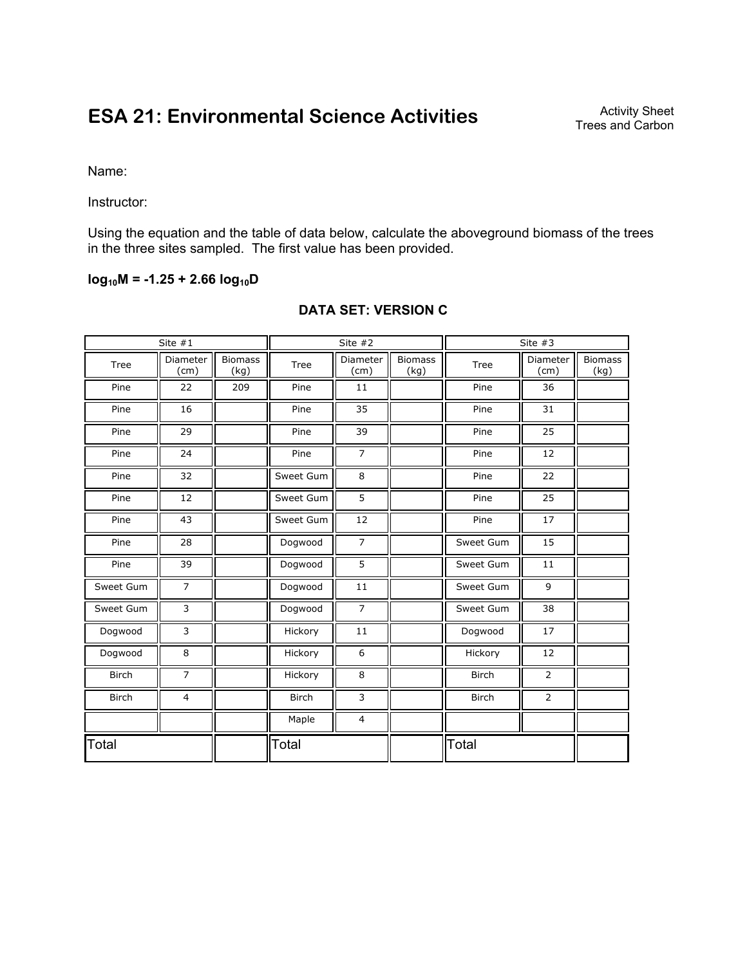# **ESA 21: Environmental Science Activities**

Name:

Instructor:

Using the equation and the table of data below, calculate the aboveground biomass of the trees in the three sites sampled. The first value has been provided.

## **log10M = -1.25 + 2.66 log10D**

| Site $#1$    |                  | Site $#2$              |              | Site $#3$        |                        |              |                  |                        |
|--------------|------------------|------------------------|--------------|------------------|------------------------|--------------|------------------|------------------------|
| <b>Tree</b>  | Diameter<br>(cm) | <b>Biomass</b><br>(kg) | Tree         | Diameter<br>(cm) | <b>Biomass</b><br>(kg) | Tree         | Diameter<br>(cm) | <b>Biomass</b><br>(kg) |
| Pine         | 22               | 209                    | Pine         | 11               |                        | Pine         | 36               |                        |
| Pine         | 16               |                        | Pine         | 35               |                        | Pine         | 31               |                        |
| Pine         | 29               |                        | Pine         | 39               |                        | Pine         | 25               |                        |
| Pine         | 24               |                        | Pine         | $\overline{7}$   |                        | Pine         | 12               |                        |
| Pine         | 32               |                        | Sweet Gum    | 8                |                        | Pine         | 22               |                        |
| Pine         | 12               |                        | Sweet Gum    | 5                |                        | Pine         | 25               |                        |
| Pine         | 43               |                        | Sweet Gum    | 12               |                        | Pine         | 17               |                        |
| Pine         | 28               |                        | Dogwood      | $\overline{7}$   |                        | Sweet Gum    | 15               |                        |
| Pine         | 39               |                        | Dogwood      | 5                |                        | Sweet Gum    | 11               |                        |
| Sweet Gum    | $\overline{7}$   |                        | Dogwood      | 11               |                        | Sweet Gum    | $\overline{9}$   |                        |
| Sweet Gum    | 3                |                        | Dogwood      | $\overline{7}$   |                        | Sweet Gum    | 38               |                        |
| Dogwood      | 3                |                        | Hickory      | 11               |                        | Dogwood      | 17               |                        |
| Dogwood      | 8                |                        | Hickory      | 6                |                        | Hickory      | 12               |                        |
| <b>Birch</b> | $\overline{7}$   |                        | Hickory      | 8                |                        | <b>Birch</b> | $\overline{2}$   |                        |
| <b>Birch</b> | 4                |                        | <b>Birch</b> | 3                |                        | <b>Birch</b> | $\overline{2}$   |                        |
|              |                  |                        | Maple        | $\overline{4}$   |                        |              |                  |                        |
| Total        |                  | Total                  |              |                  | Total                  |              |                  |                        |

## **DATA SET: VERSION C**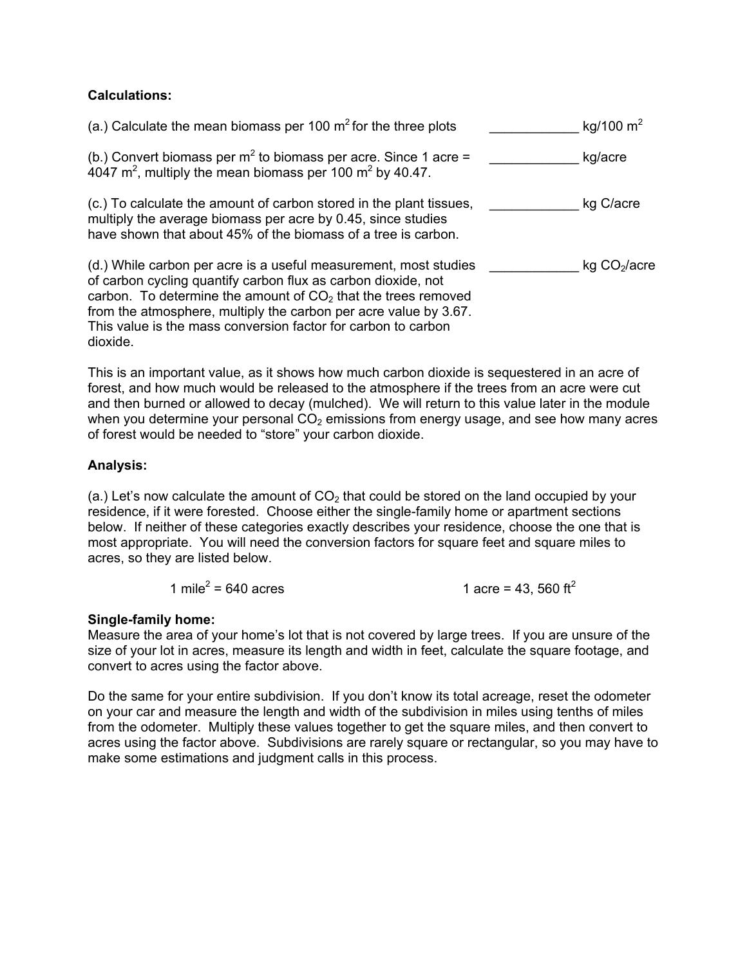## **Calculations:**

| (a.) Calculate the mean biomass per 100 $m^2$ for the three plots                                                                                                                                                                                                                                                                         | kg/100 $m^2$             |
|-------------------------------------------------------------------------------------------------------------------------------------------------------------------------------------------------------------------------------------------------------------------------------------------------------------------------------------------|--------------------------|
| (b.) Convert biomass per $m^2$ to biomass per acre. Since 1 acre =<br>$4047$ m <sup>2</sup> , multiply the mean biomass per 100 m <sup>2</sup> by 40.47.                                                                                                                                                                                  | kg/acre                  |
| (c.) To calculate the amount of carbon stored in the plant tissues,<br>multiply the average biomass per acre by 0.45, since studies<br>have shown that about 45% of the biomass of a tree is carbon.                                                                                                                                      | kg C/acre                |
| (d.) While carbon per acre is a useful measurement, most studies<br>of carbon cycling quantify carbon flux as carbon dioxide, not<br>carbon. To determine the amount of $CO2$ that the trees removed<br>from the atmosphere, multiply the carbon per acre value by 3.67.<br>This value is the mass conversion factor for carbon to carbon | kg CO <sub>2</sub> /acre |

This is an important value, as it shows how much carbon dioxide is sequestered in an acre of forest, and how much would be released to the atmosphere if the trees from an acre were cut and then burned or allowed to decay (mulched). We will return to this value later in the module when you determine your personal  $CO<sub>2</sub>$  emissions from energy usage, and see how many acres of forest would be needed to "store" your carbon dioxide.

## **Analysis:**

dioxide.

(a.) Let's now calculate the amount of  $CO<sub>2</sub>$  that could be stored on the land occupied by your residence, if it were forested. Choose either the single-family home or apartment sections below. If neither of these categories exactly describes your residence, choose the one that is most appropriate. You will need the conversion factors for square feet and square miles to acres, so they are listed below.

$$
1 \text{ mile}^2 = 640 \text{ acres}
$$
  $1 \text{ acre} = 43,560 \text{ ft}^2$ 

### **Single-family home:**

Measure the area of your home's lot that is not covered by large trees. If you are unsure of the size of your lot in acres, measure its length and width in feet, calculate the square footage, and convert to acres using the factor above.

Do the same for your entire subdivision. If you don't know its total acreage, reset the odometer on your car and measure the length and width of the subdivision in miles using tenths of miles from the odometer. Multiply these values together to get the square miles, and then convert to acres using the factor above. Subdivisions are rarely square or rectangular, so you may have to make some estimations and judgment calls in this process.